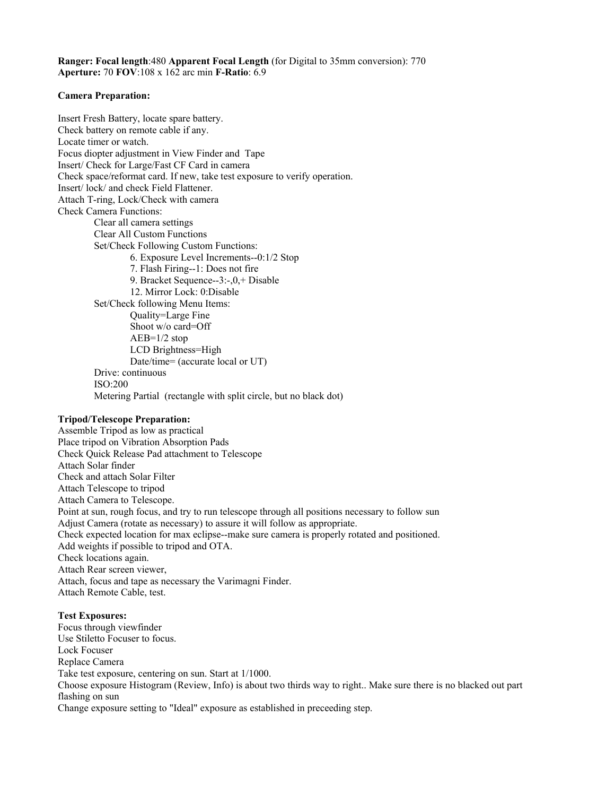**Ranger: Focal length**:480 **Apparent Focal Length** (for Digital to 35mm conversion): 770 **Aperture:** 70 **FOV**:108 x 162 arc min **F-Ratio**: 6.9

#### **Camera Preparation:**

Insert Fresh Battery, locate spare battery. Check battery on remote cable if any. Locate timer or watch. Focus diopter adjustment in View Finder and Tape Insert/ Check for Large/Fast CF Card in camera Check space/reformat card. If new, take test exposure to verify operation. Insert/ lock/ and check Field Flattener. Attach T-ring, Lock/Check with camera Check Camera Functions: Clear all camera settings Clear All Custom Functions Set/Check Following Custom Functions: 6. Exposure Level Increments--0:1/2 Stop 7. Flash Firing--1: Does not fire 9. Bracket Sequence--3:-,0,+ Disable 12. Mirror Lock: 0:Disable Set/Check following Menu Items: Quality=Large Fine Shoot w/o card=Off AEB=1/2 stop LCD Brightness=High Date/time= (accurate local or UT) Drive: continuous ISO:200 Metering Partial (rectangle with split circle, but no black dot)

### **Tripod/Telescope Preparation:**

Assemble Tripod as low as practical Place tripod on Vibration Absorption Pads Check Quick Release Pad attachment to Telescope Attach Solar finder Check and attach Solar Filter Attach Telescope to tripod Attach Camera to Telescope. Point at sun, rough focus, and try to run telescope through all positions necessary to follow sun Adjust Camera (rotate as necessary) to assure it will follow as appropriate. Check expected location for max eclipse--make sure camera is properly rotated and positioned. Add weights if possible to tripod and OTA. Check locations again. Attach Rear screen viewer, Attach, focus and tape as necessary the Varimagni Finder. Attach Remote Cable, test.

### **Test Exposures:**

Focus through viewfinder Use Stiletto Focuser to focus. Lock Focuser Replace Camera Take test exposure, centering on sun. Start at 1/1000. Choose exposure Histogram (Review, Info) is about two thirds way to right.. Make sure there is no blacked out part flashing on sun Change exposure setting to "Ideal" exposure as established in preceeding step.